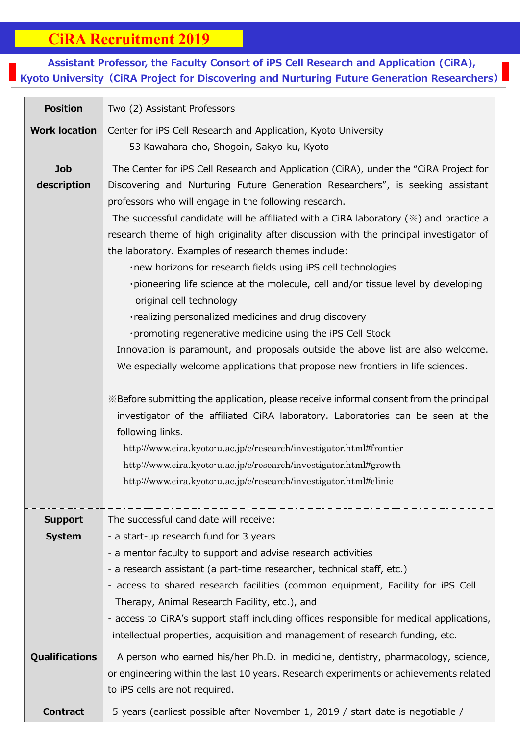## **CiRA Recruitment 2019**

## 7<br>7<br>7 **Assistant Professor, the Faculty Consort of iPS Cell Research and Application (CiRA), Kyoto University (CiRA Project for Discovering and Nurturing Future Generation Researchers)**

| <b>Position</b>                 | Two (2) Assistant Professors                                                                                                                                                                                                                                                                                                                                                                                                                                                                                                                                                                                                                                                                                                                                                                                                                                                                                                                                                                                                                                                                                                                                                                                                                                                                                                                                                          |
|---------------------------------|---------------------------------------------------------------------------------------------------------------------------------------------------------------------------------------------------------------------------------------------------------------------------------------------------------------------------------------------------------------------------------------------------------------------------------------------------------------------------------------------------------------------------------------------------------------------------------------------------------------------------------------------------------------------------------------------------------------------------------------------------------------------------------------------------------------------------------------------------------------------------------------------------------------------------------------------------------------------------------------------------------------------------------------------------------------------------------------------------------------------------------------------------------------------------------------------------------------------------------------------------------------------------------------------------------------------------------------------------------------------------------------|
| <b>Work location</b>            | Center for iPS Cell Research and Application, Kyoto University<br>53 Kawahara-cho, Shogoin, Sakyo-ku, Kyoto                                                                                                                                                                                                                                                                                                                                                                                                                                                                                                                                                                                                                                                                                                                                                                                                                                                                                                                                                                                                                                                                                                                                                                                                                                                                           |
| Job<br>description              | The Center for iPS Cell Research and Application (CiRA), under the "CiRA Project for<br>Discovering and Nurturing Future Generation Researchers", is seeking assistant<br>professors who will engage in the following research.<br>The successful candidate will be affiliated with a CiRA laboratory $(\mathbb{X})$ and practice a<br>research theme of high originality after discussion with the principal investigator of<br>the laboratory. Examples of research themes include:<br>. new horizons for research fields using iPS cell technologies<br>. pioneering life science at the molecule, cell and/or tissue level by developing<br>original cell technology<br>·realizing personalized medicines and drug discovery<br>·promoting regenerative medicine using the iPS Cell Stock<br>Innovation is paramount, and proposals outside the above list are also welcome.<br>We especially welcome applications that propose new frontiers in life sciences.<br>*Before submitting the application, please receive informal consent from the principal<br>investigator of the affiliated CiRA laboratory. Laboratories can be seen at the<br>following links.<br>http://www.cira.kyoto-u.ac.jp/e/research/investigator.html#frontier<br>http://www.cira.kyoto-u.ac.jp/e/research/investigator.html#growth<br>http://www.cira.kyoto-u.ac.jp/e/research/investigator.html#clinic |
| <b>Support</b><br><b>System</b> | The successful candidate will receive:<br>- a start-up research fund for 3 years<br>- a mentor faculty to support and advise research activities<br>- a research assistant (a part-time researcher, technical staff, etc.)<br>- access to shared research facilities (common equipment, Facility for iPS Cell<br>Therapy, Animal Research Facility, etc.), and<br>- access to CiRA's support staff including offices responsible for medical applications,<br>intellectual properties, acquisition and management of research funding, etc.                                                                                                                                                                                                                                                                                                                                                                                                                                                                                                                                                                                                                                                                                                                                                                                                                                           |
| Qualifications                  | A person who earned his/her Ph.D. in medicine, dentistry, pharmacology, science,<br>or engineering within the last 10 years. Research experiments or achievements related<br>to iPS cells are not required.                                                                                                                                                                                                                                                                                                                                                                                                                                                                                                                                                                                                                                                                                                                                                                                                                                                                                                                                                                                                                                                                                                                                                                           |
| <b>Contract</b>                 | 5 years (earliest possible after November 1, 2019 / start date is negotiable /                                                                                                                                                                                                                                                                                                                                                                                                                                                                                                                                                                                                                                                                                                                                                                                                                                                                                                                                                                                                                                                                                                                                                                                                                                                                                                        |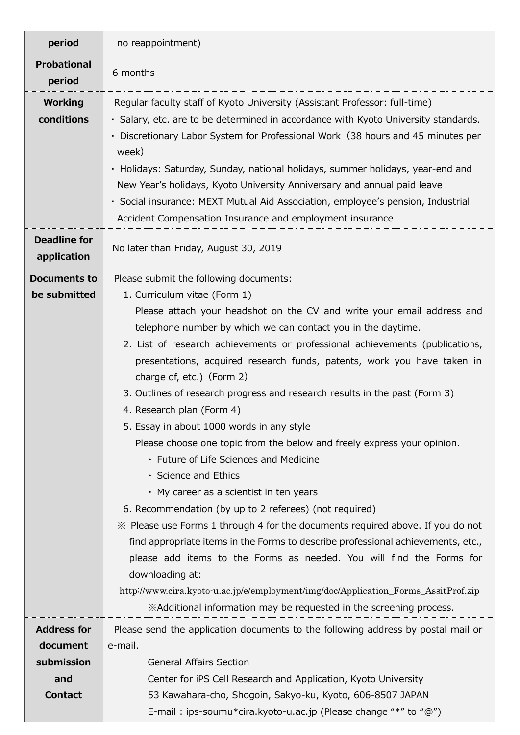| period                                          | no reappointment)                                                                                                                                                                                                                                                                                                                                                                                                                                                                                                                                                                                                                                                                                                                                                                                                                                                                                                                                                                                                                                                                                                                                                                                                                                     |
|-------------------------------------------------|-------------------------------------------------------------------------------------------------------------------------------------------------------------------------------------------------------------------------------------------------------------------------------------------------------------------------------------------------------------------------------------------------------------------------------------------------------------------------------------------------------------------------------------------------------------------------------------------------------------------------------------------------------------------------------------------------------------------------------------------------------------------------------------------------------------------------------------------------------------------------------------------------------------------------------------------------------------------------------------------------------------------------------------------------------------------------------------------------------------------------------------------------------------------------------------------------------------------------------------------------------|
| <b>Probational</b><br>period                    | 6 months                                                                                                                                                                                                                                                                                                                                                                                                                                                                                                                                                                                                                                                                                                                                                                                                                                                                                                                                                                                                                                                                                                                                                                                                                                              |
| <b>Working</b><br>conditions                    | Regular faculty staff of Kyoto University (Assistant Professor: full-time)<br>· Salary, etc. are to be determined in accordance with Kyoto University standards.<br>· Discretionary Labor System for Professional Work (38 hours and 45 minutes per<br>week)<br>· Holidays: Saturday, Sunday, national holidays, summer holidays, year-end and<br>New Year's holidays, Kyoto University Anniversary and annual paid leave<br>· Social insurance: MEXT Mutual Aid Association, employee's pension, Industrial<br>Accident Compensation Insurance and employment insurance                                                                                                                                                                                                                                                                                                                                                                                                                                                                                                                                                                                                                                                                              |
| <b>Deadline for</b><br>application              | No later than Friday, August 30, 2019                                                                                                                                                                                                                                                                                                                                                                                                                                                                                                                                                                                                                                                                                                                                                                                                                                                                                                                                                                                                                                                                                                                                                                                                                 |
| <b>Documents to</b><br>be submitted             | Please submit the following documents:<br>1. Curriculum vitae (Form 1)<br>Please attach your headshot on the CV and write your email address and<br>telephone number by which we can contact you in the daytime.<br>2. List of research achievements or professional achievements (publications,<br>presentations, acquired research funds, patents, work you have taken in<br>charge of, etc.) (Form 2)<br>3. Outlines of research progress and research results in the past (Form 3)<br>4. Research plan (Form 4)<br>5. Essay in about 1000 words in any style<br>Please choose one topic from the below and freely express your opinion.<br>• Future of Life Sciences and Medicine<br>· Science and Ethics<br>$\cdot$ My career as a scientist in ten years<br>6. Recommendation (by up to 2 referees) (not required)<br>» Please use Forms 1 through 4 for the documents required above. If you do not<br>find appropriate items in the Forms to describe professional achievements, etc.,<br>please add items to the Forms as needed. You will find the Forms for<br>downloading at:<br>http://www.cira.kyoto-u.ac.jp/e/employment/img/doc/Application_Forms_AssitProf.zip<br>XAdditional information may be requested in the screening process. |
| <b>Address for</b>                              | Please send the application documents to the following address by postal mail or                                                                                                                                                                                                                                                                                                                                                                                                                                                                                                                                                                                                                                                                                                                                                                                                                                                                                                                                                                                                                                                                                                                                                                      |
| document<br>submission<br>and<br><b>Contact</b> | e-mail.<br><b>General Affairs Section</b><br>Center for iPS Cell Research and Application, Kyoto University<br>53 Kawahara-cho, Shogoin, Sakyo-ku, Kyoto, 606-8507 JAPAN                                                                                                                                                                                                                                                                                                                                                                                                                                                                                                                                                                                                                                                                                                                                                                                                                                                                                                                                                                                                                                                                              |
|                                                 | E-mail: ips-soumu*cira.kyoto-u.ac.jp (Please change "*" to "@")                                                                                                                                                                                                                                                                                                                                                                                                                                                                                                                                                                                                                                                                                                                                                                                                                                                                                                                                                                                                                                                                                                                                                                                       |